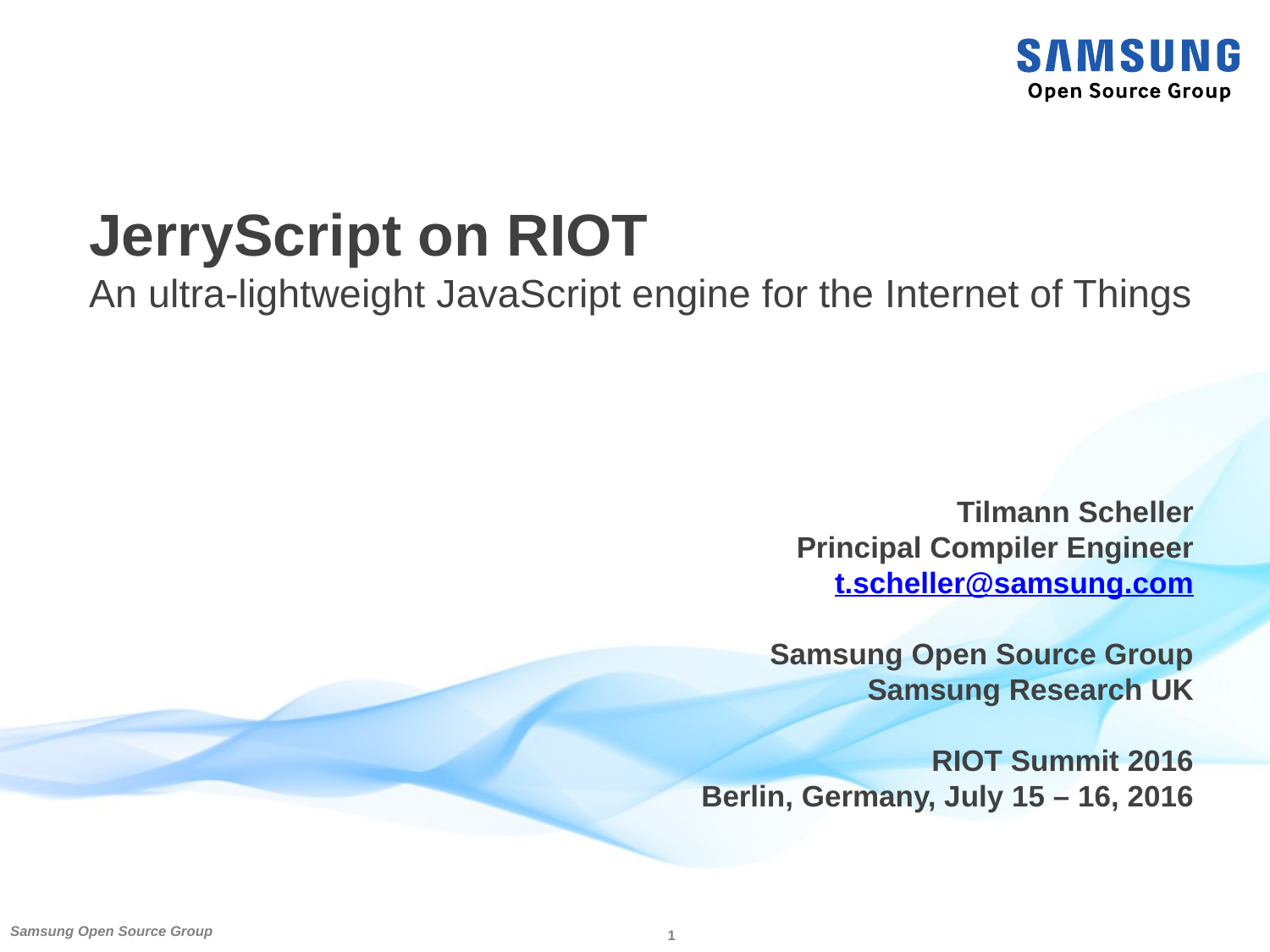

### **JerryScript on RIOT**

An ultra-lightweight JavaScript engine for the Internet of Things

**Tilmann Scheller Principal Compiler Engineer [t.scheller@samsung.com](mailto:t.scheller@samsung.com)**

**Samsung Open Source Group Samsung Research UK**

**RIOT Summit 2016 Berlin, Germany, July 15 – 16, 2016**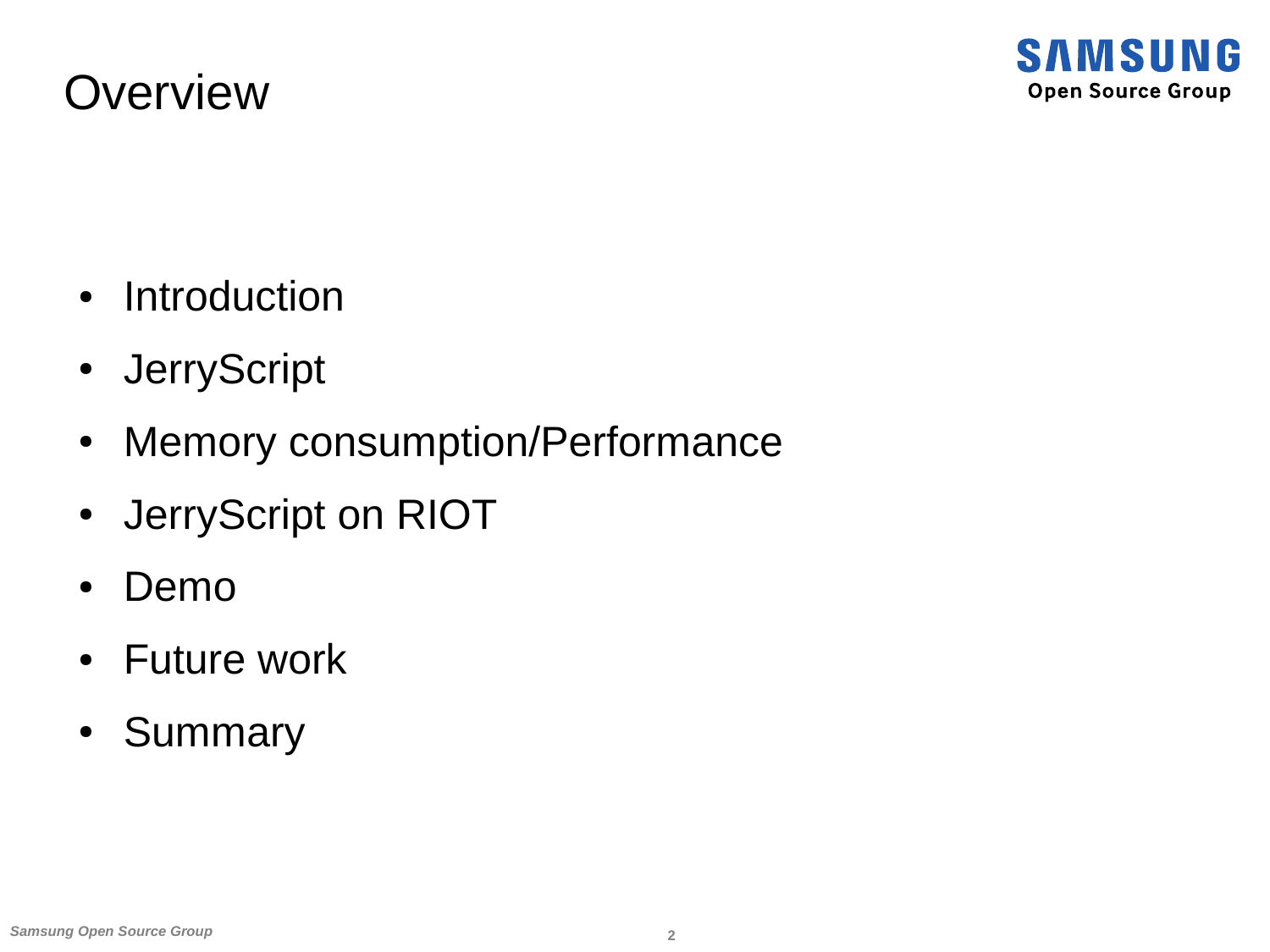#### **Overview**

- Introduction
- JerryScript
- Memory consumption/Performance
- JerryScript on RIOT
- Demo
- Future work
- Summary

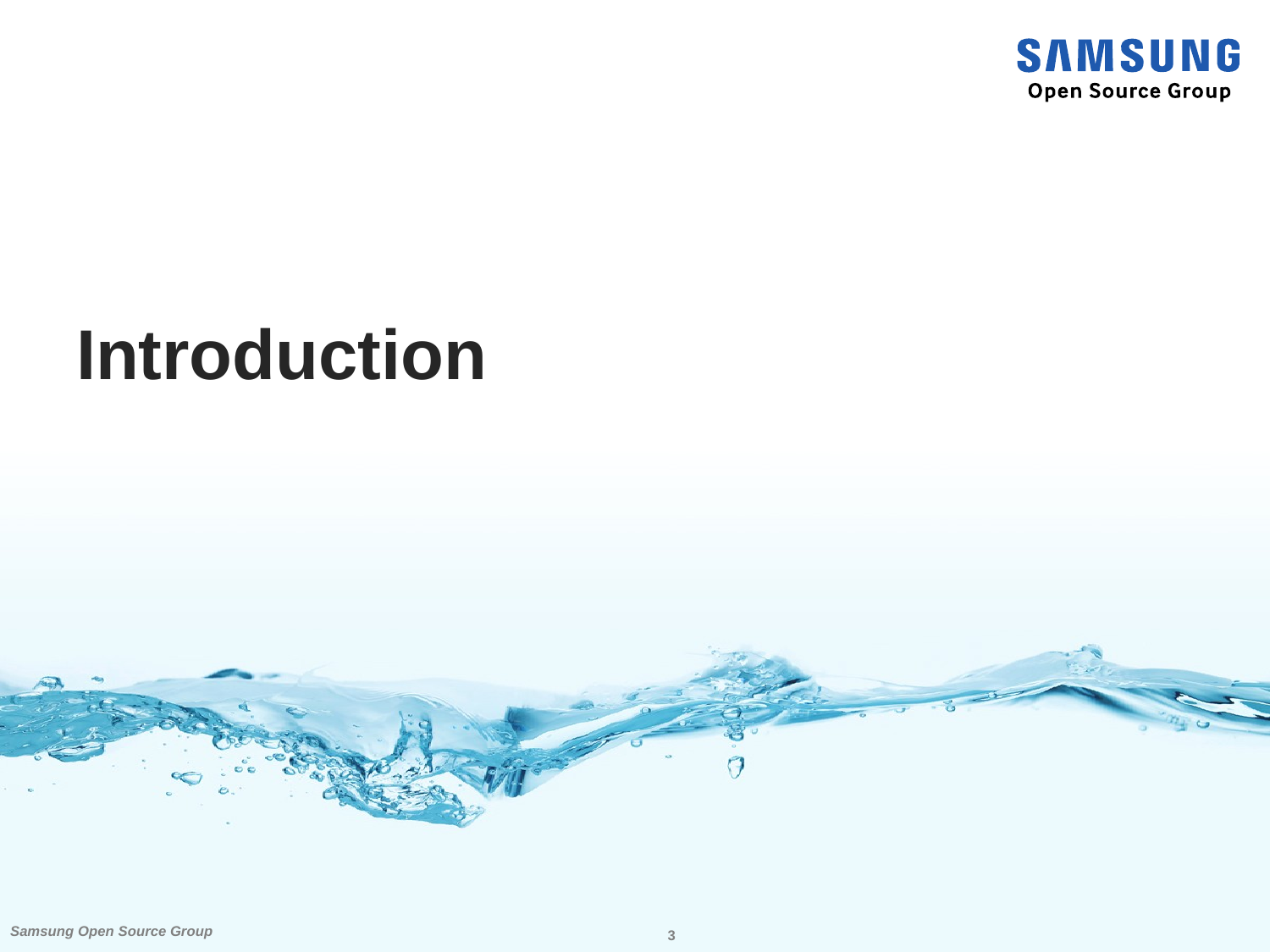

### **Introduction**

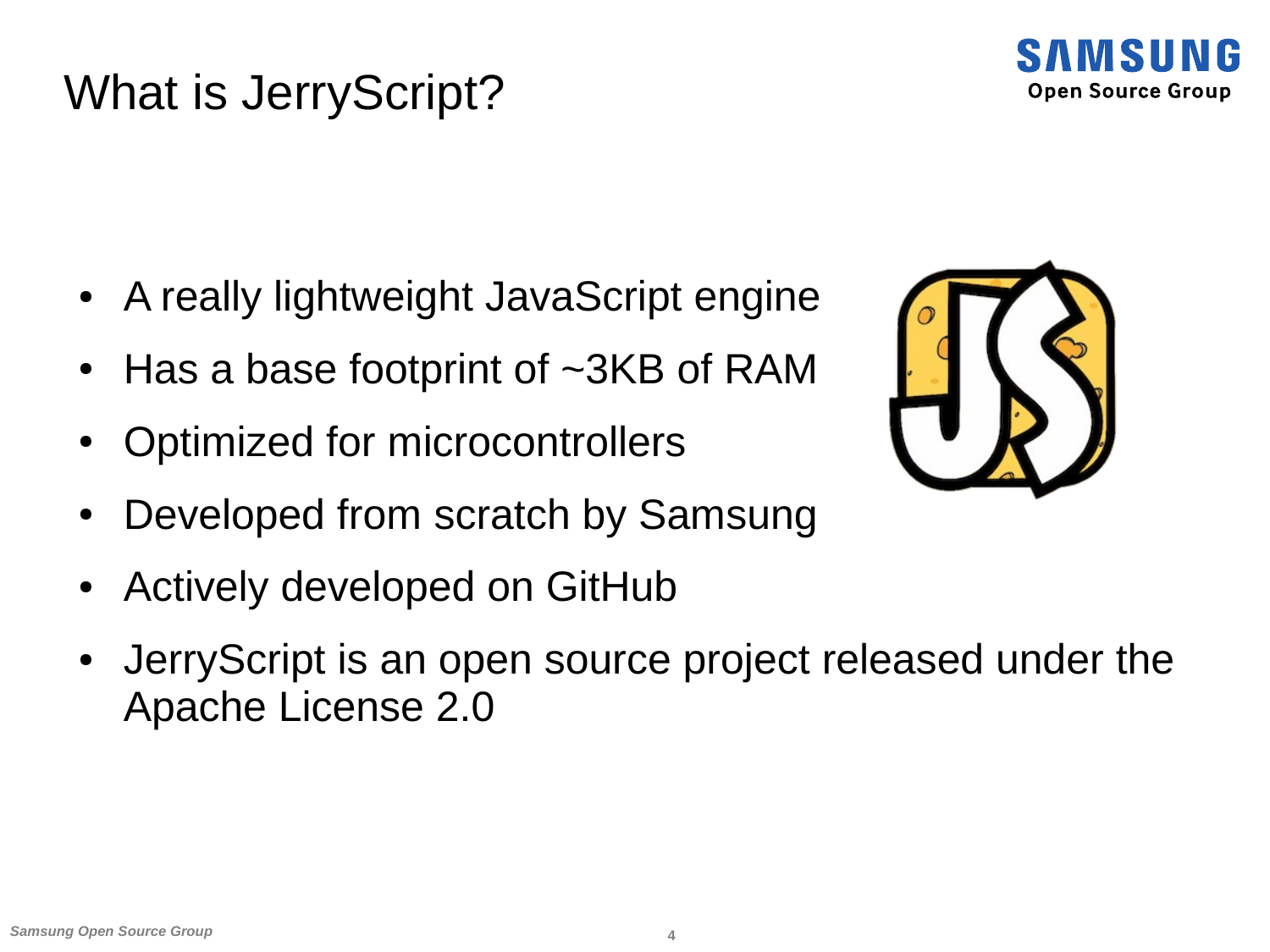#### What is JerryScript?



- A really lightweight JavaScript engine
- Has a base footprint of  $\sim$ 3KB of RAM
- Optimized for microcontrollers
- Developed from scratch by Samsung
- Actively developed on GitHub
- JerryScript is an open source project released under the Apache License 2.0

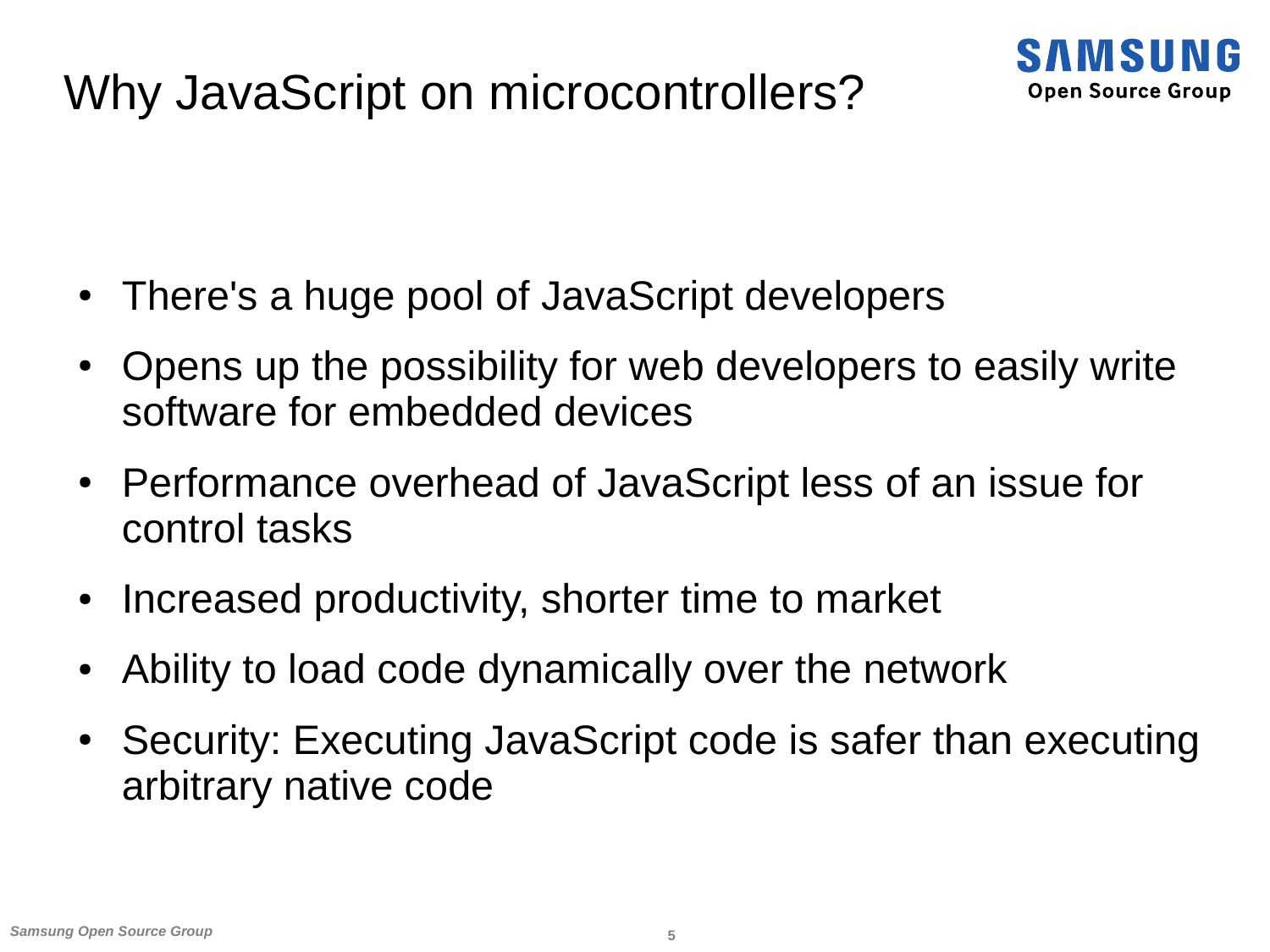#### Why JavaScript on microcontrollers?



- There's a huge pool of JavaScript developers
- Opens up the possibility for web developers to easily write software for embedded devices
- Performance overhead of JavaScript less of an issue for control tasks
- Increased productivity, shorter time to market
- Ability to load code dynamically over the network
- Security: Executing JavaScript code is safer than executing arbitrary native code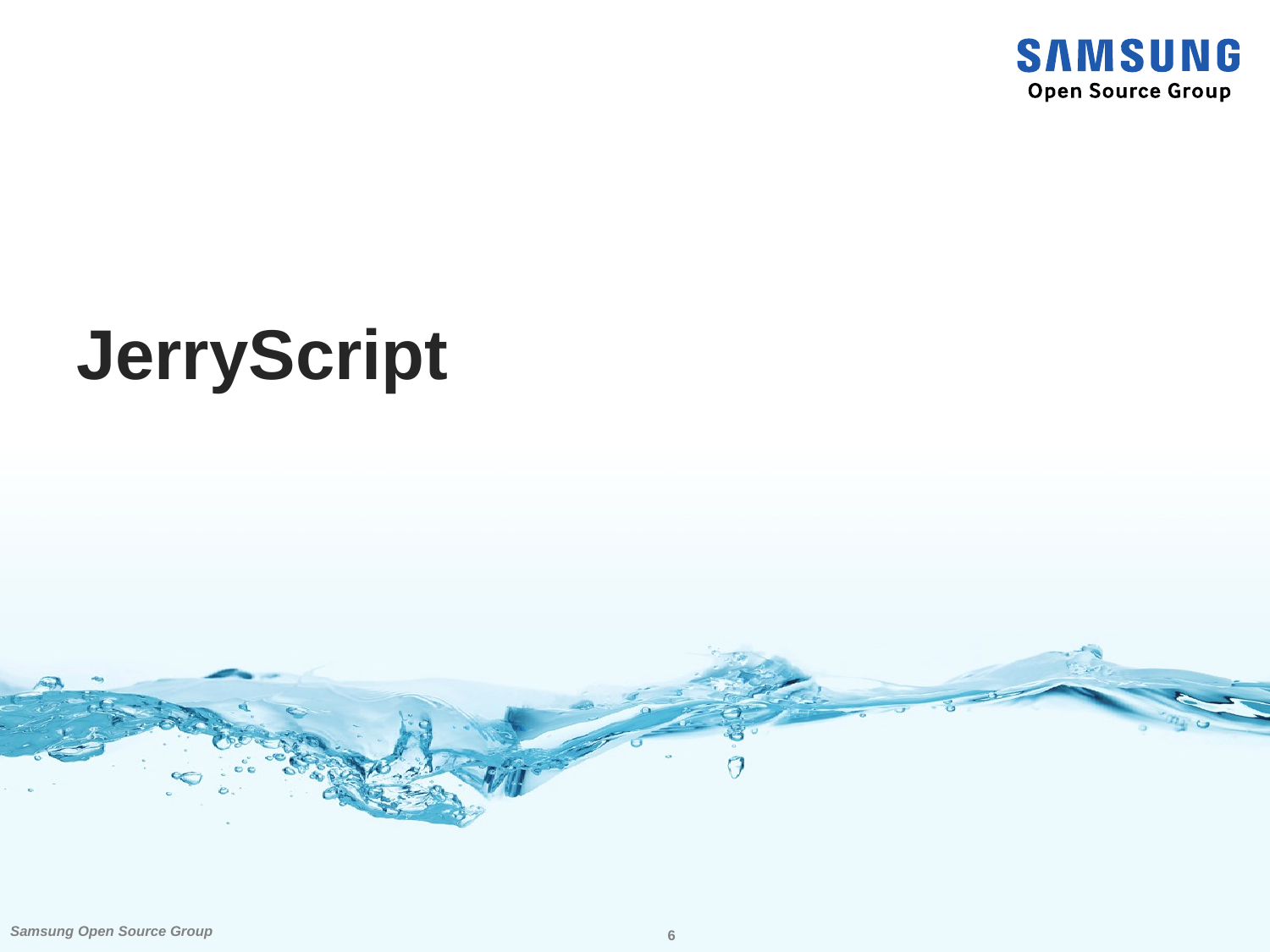

## **JerryScript**

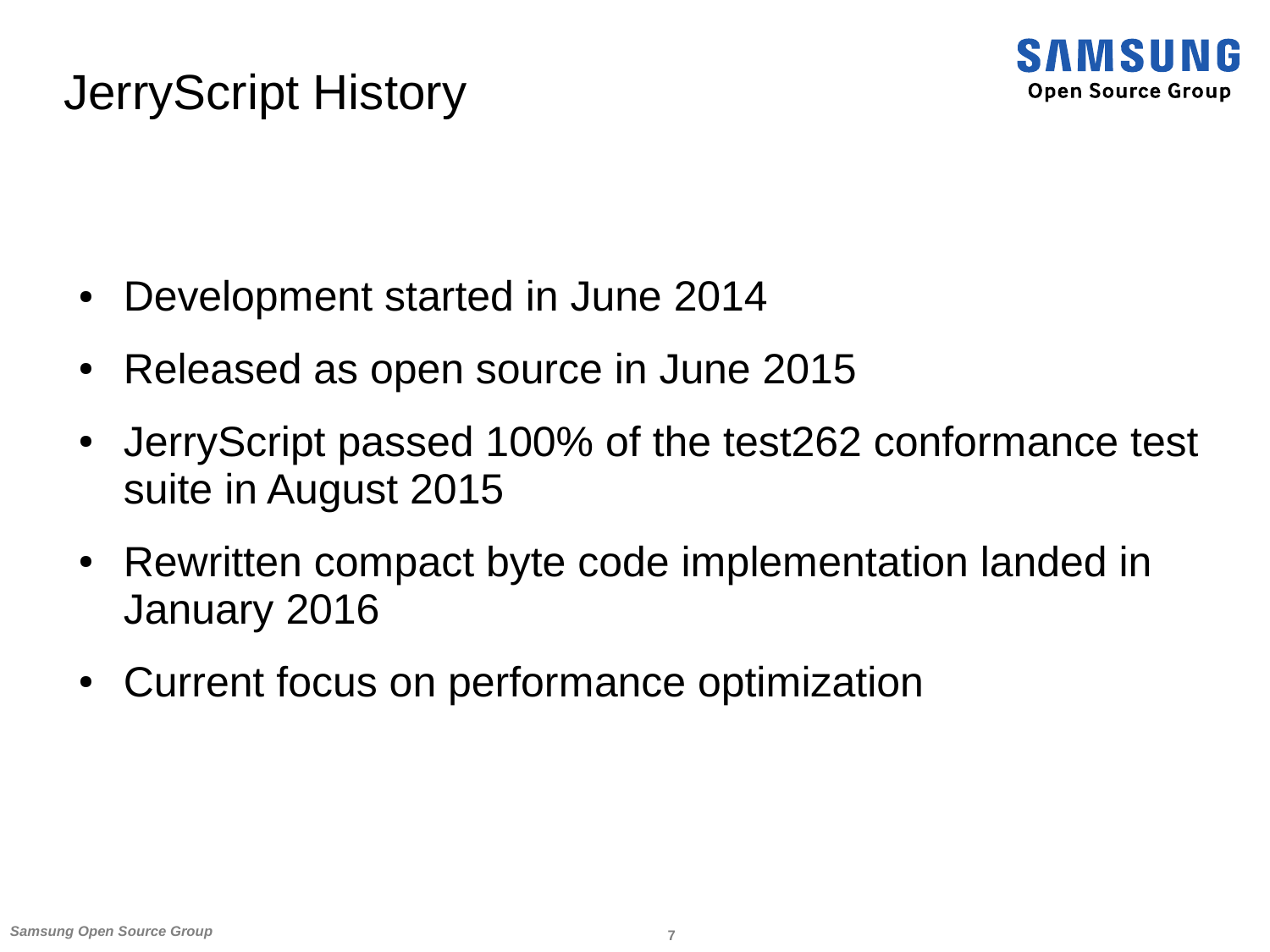#### JerryScript History



- Development started in June 2014
- Released as open source in June 2015
- JerryScript passed 100% of the test262 conformance test suite in August 2015
- Rewritten compact byte code implementation landed in January 2016
- Current focus on performance optimization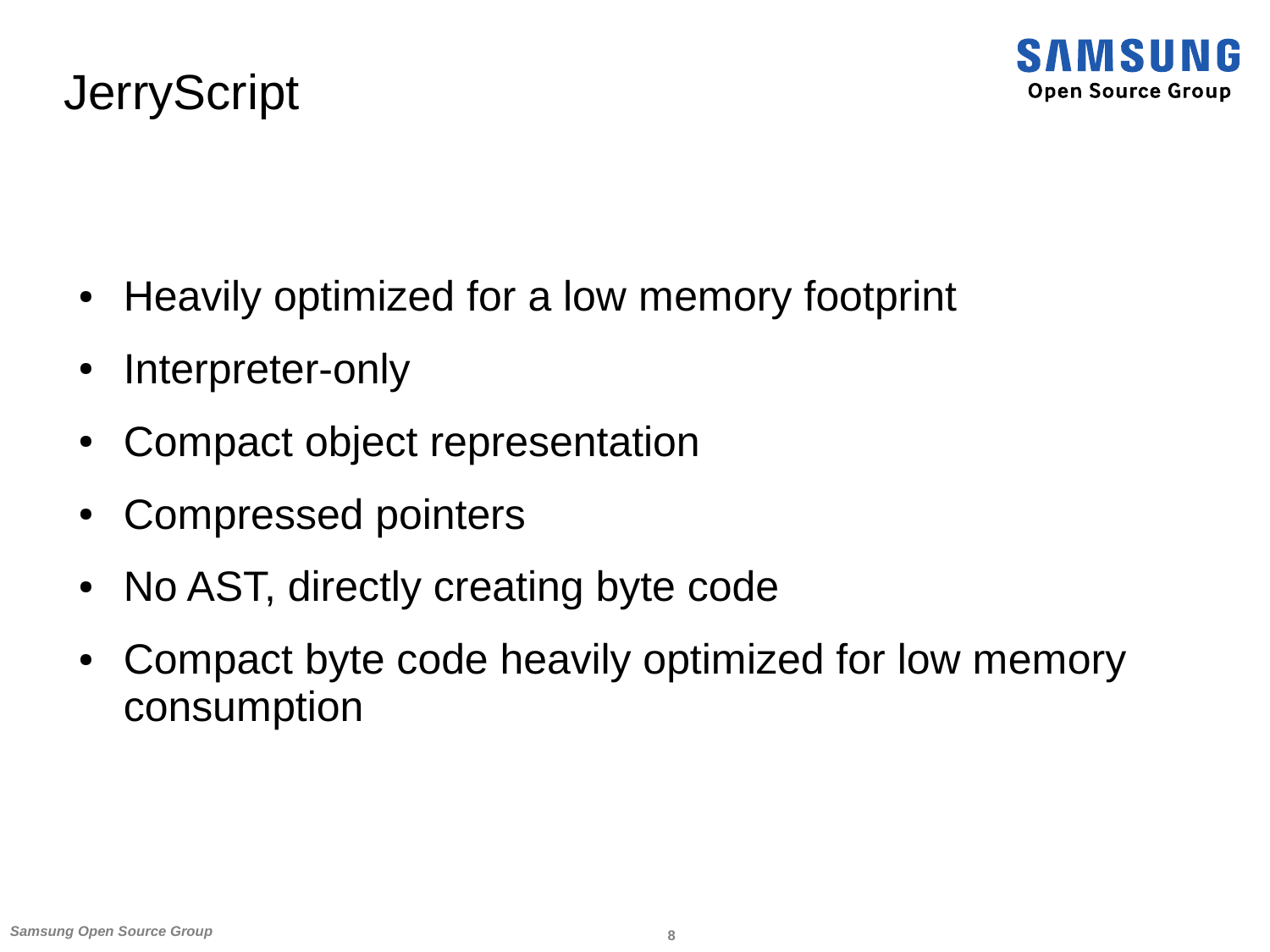#### **JerryScript**

- Heavily optimized for a low memory footprint
- Interpreter-only
- Compact object representation
- Compressed pointers
- No AST, directly creating byte code
- Compact byte code heavily optimized for low memory consumption

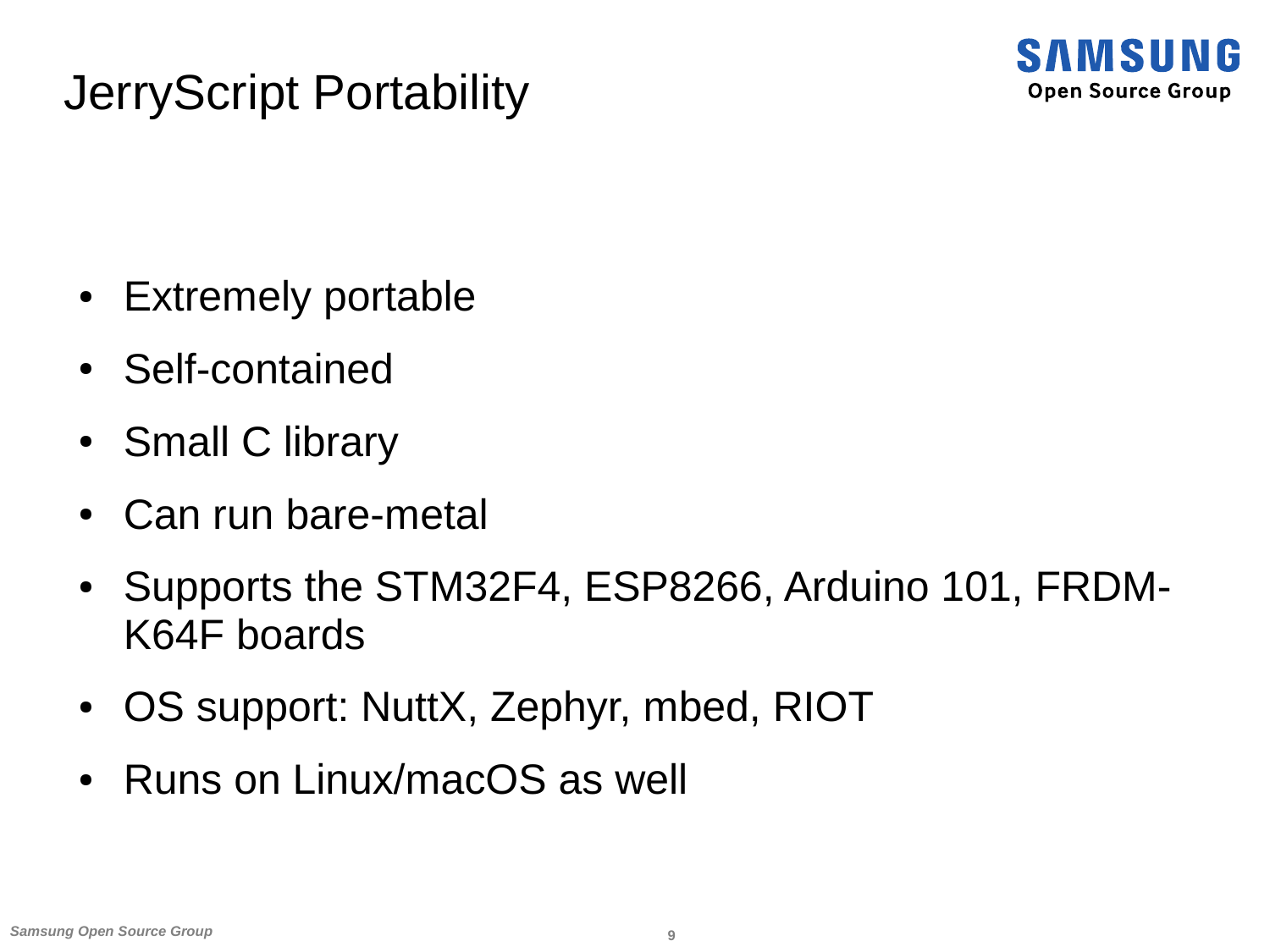#### JerryScript Portability



- Extremely portable
- Self-contained
- Small C library
- Can run bare-metal
- Supports the STM32F4, ESP8266, Arduino 101, FRDM-K64F boards
- OS support: NuttX, Zephyr, mbed, RIOT
- Runs on Linux/macOS as well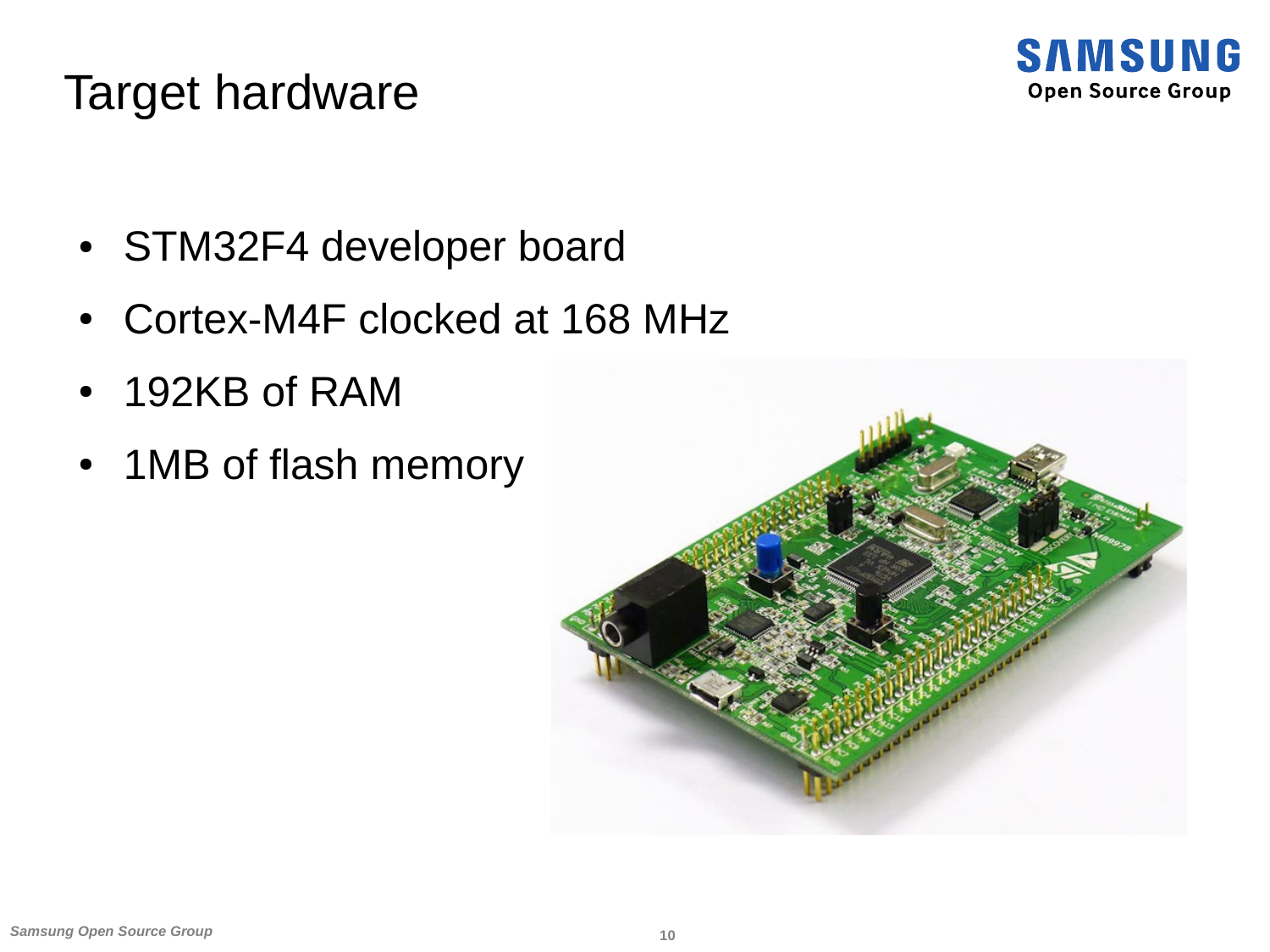

#### Target hardware

- STM32F4 developer board
- Cortex-M4F clocked at 168 MHz
- 192KB of RAM
- 1MB of flash memory

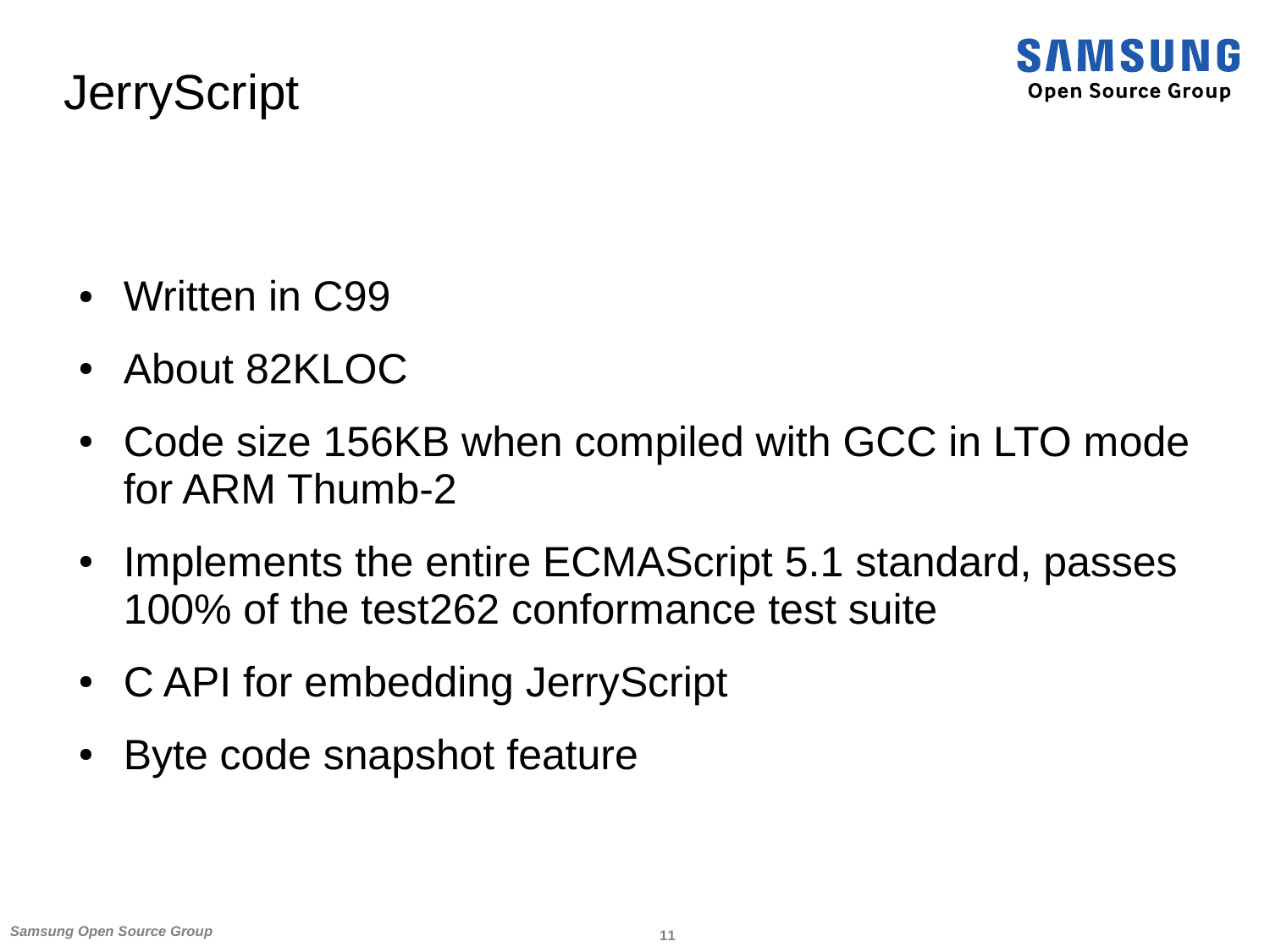

#### **JerryScript**

- Written in C99
- About 82KLOC
- Code size 156KB when compiled with GCC in LTO mode for ARM Thumb-2
- Implements the entire ECMAScript 5.1 standard, passes 100% of the test262 conformance test suite
- C API for embedding JerryScript
- Byte code snapshot feature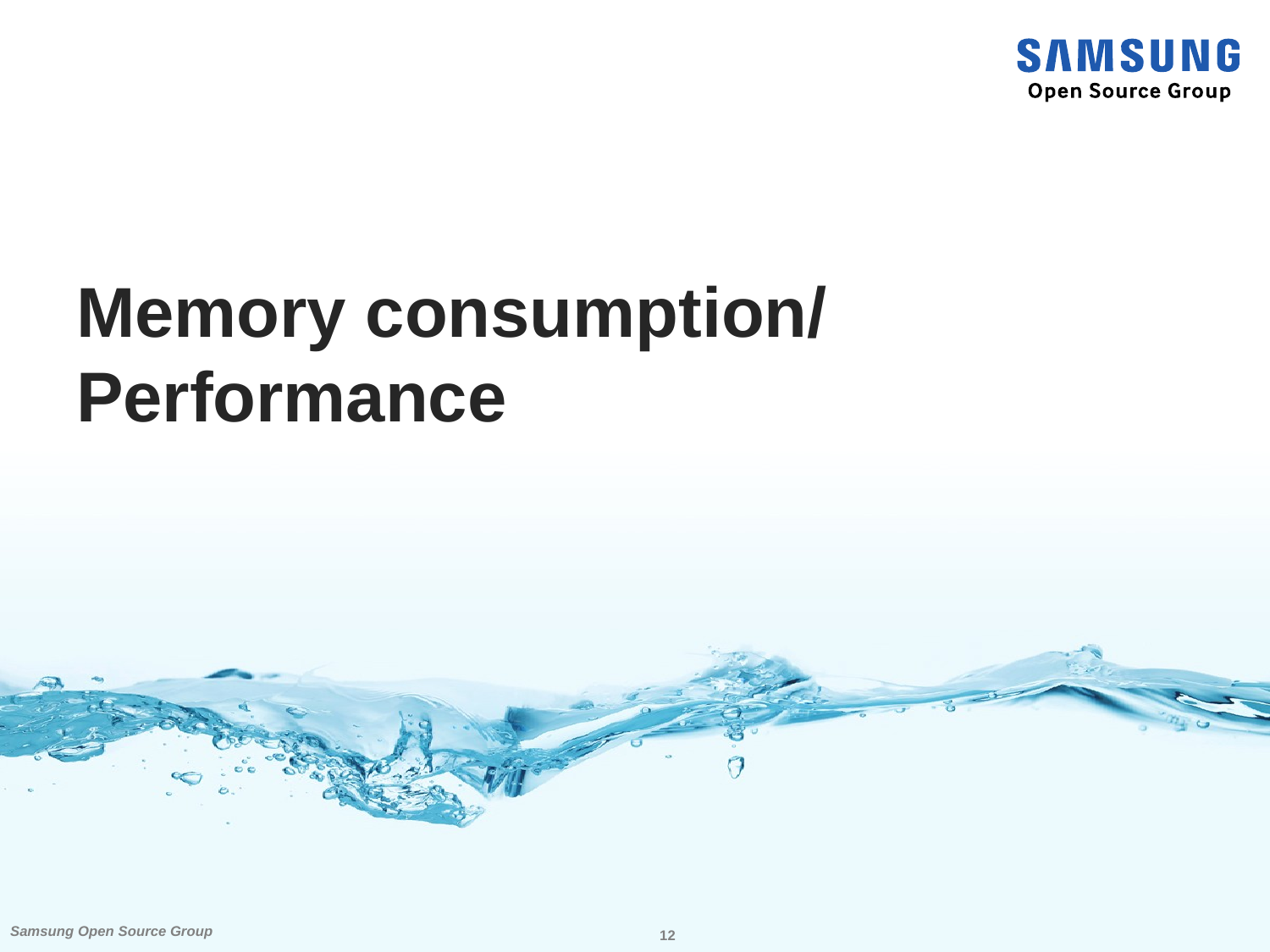

## **Memory consumption/ Performance**

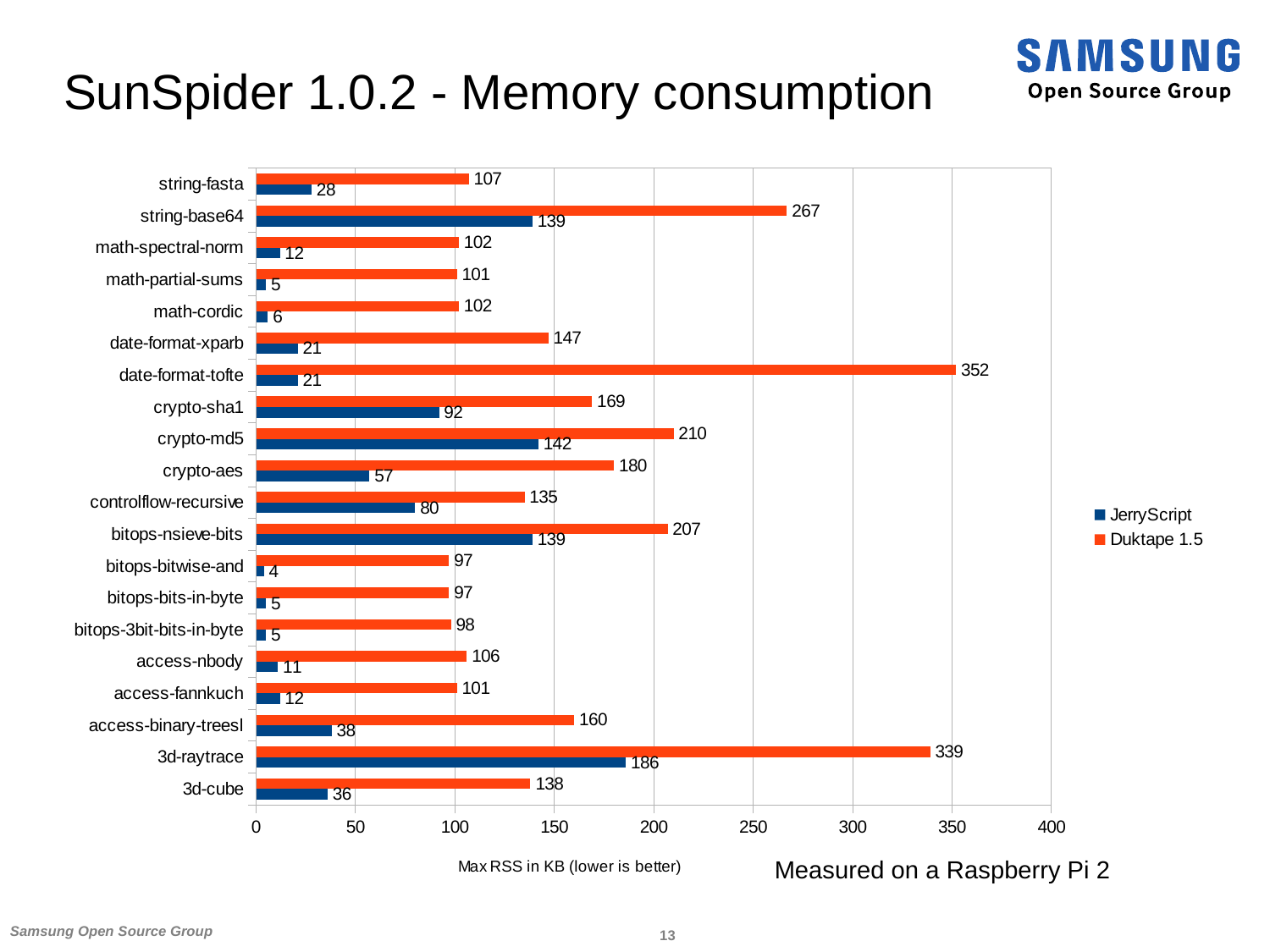#### SunSpider 1.0.2 - Memory consumption



SAMSUNG **Open Source Group**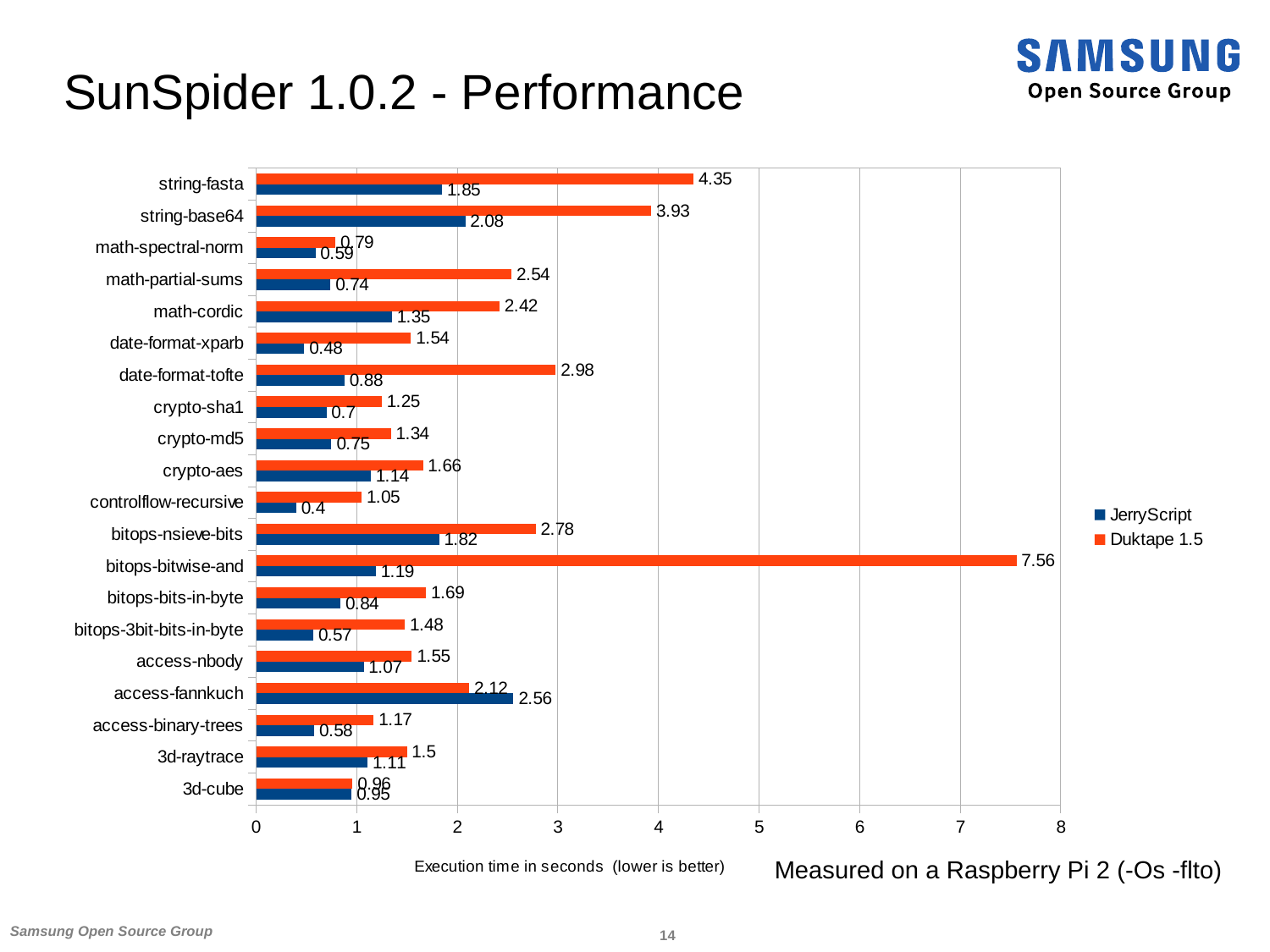#### SunSpider 1.0.2 - Performance



**SAMSUNG Open Source Group** 

*Samsung Open Source Group* **14**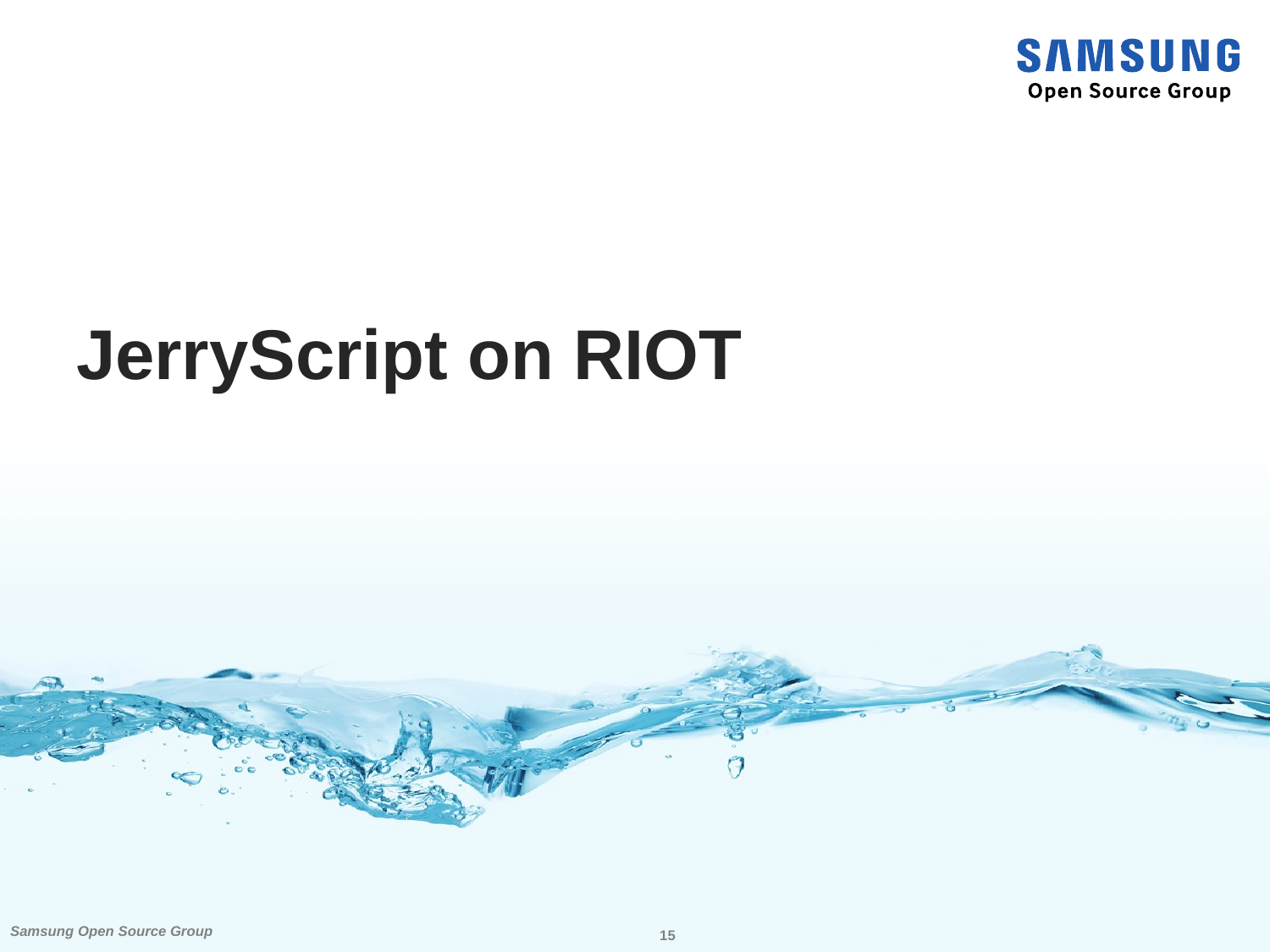

## **JerryScript on RIOT**

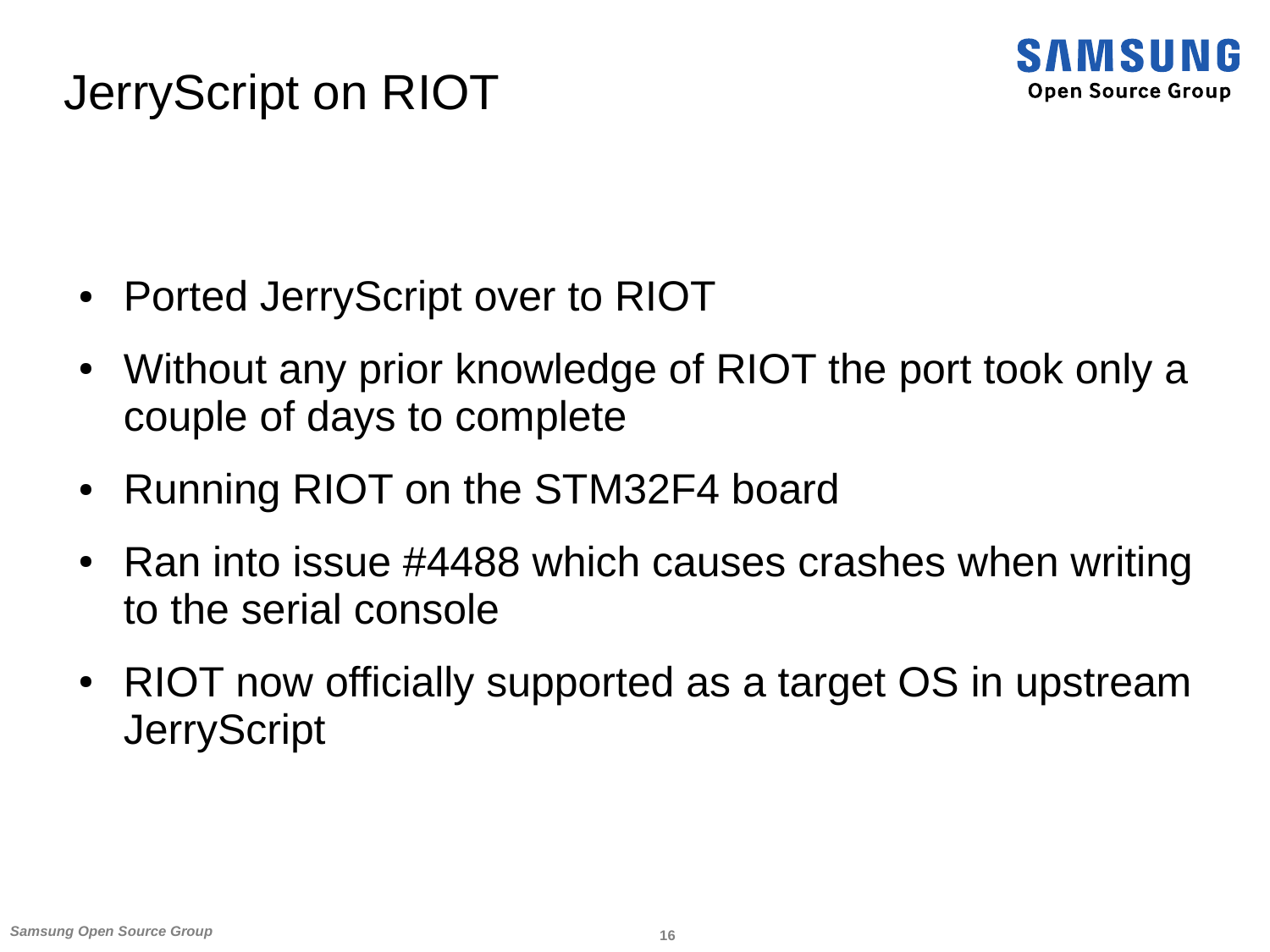#### JerryScript on RIOT



- Ported JerryScript over to RIOT
- Without any prior knowledge of RIOT the port took only a couple of days to complete
- Running RIOT on the STM32F4 board
- Ran into issue  $\#4488$  which causes crashes when writing to the serial console
- RIOT now officially supported as a target OS in upstream **JerryScript**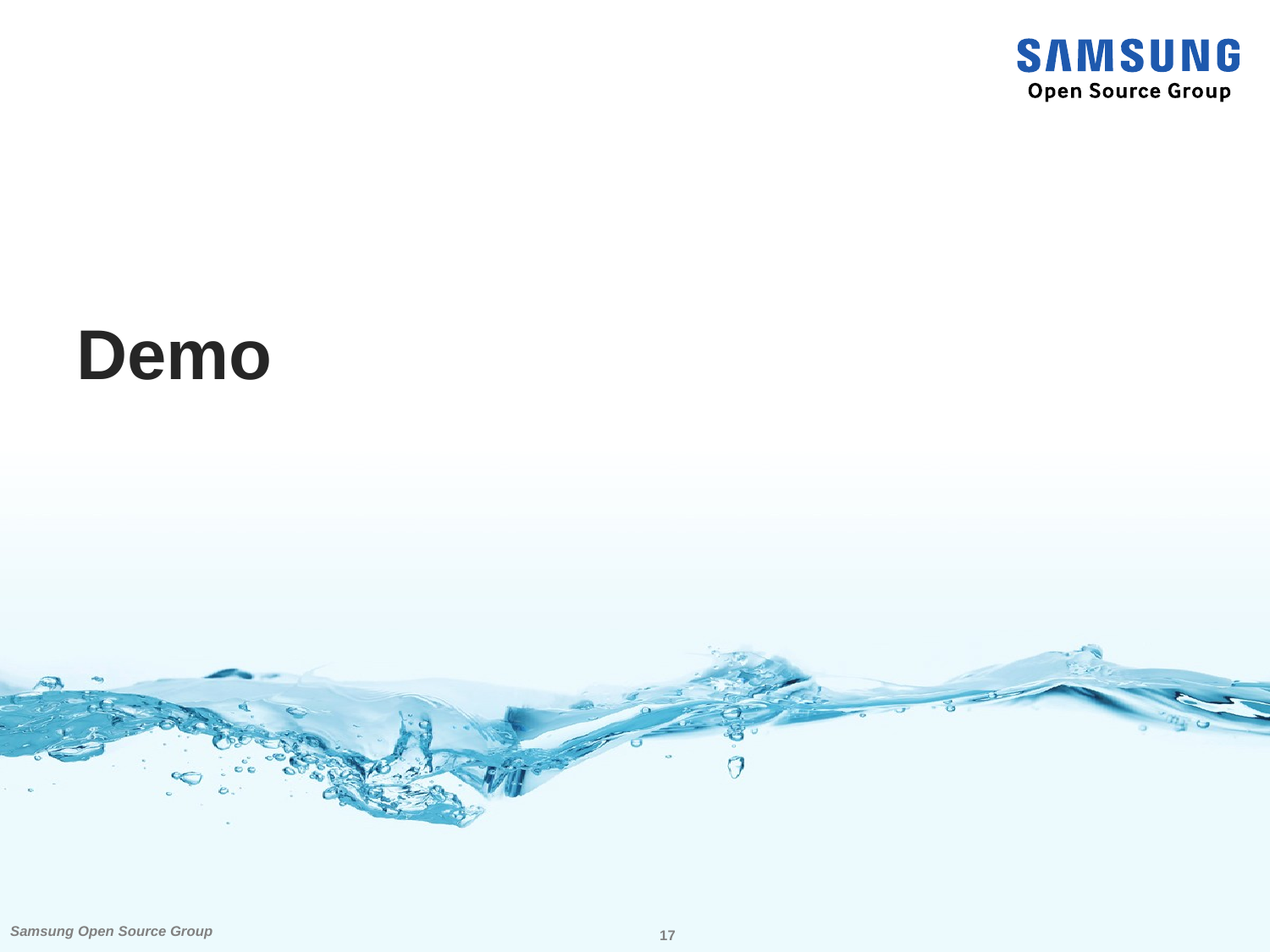

### **Demo**

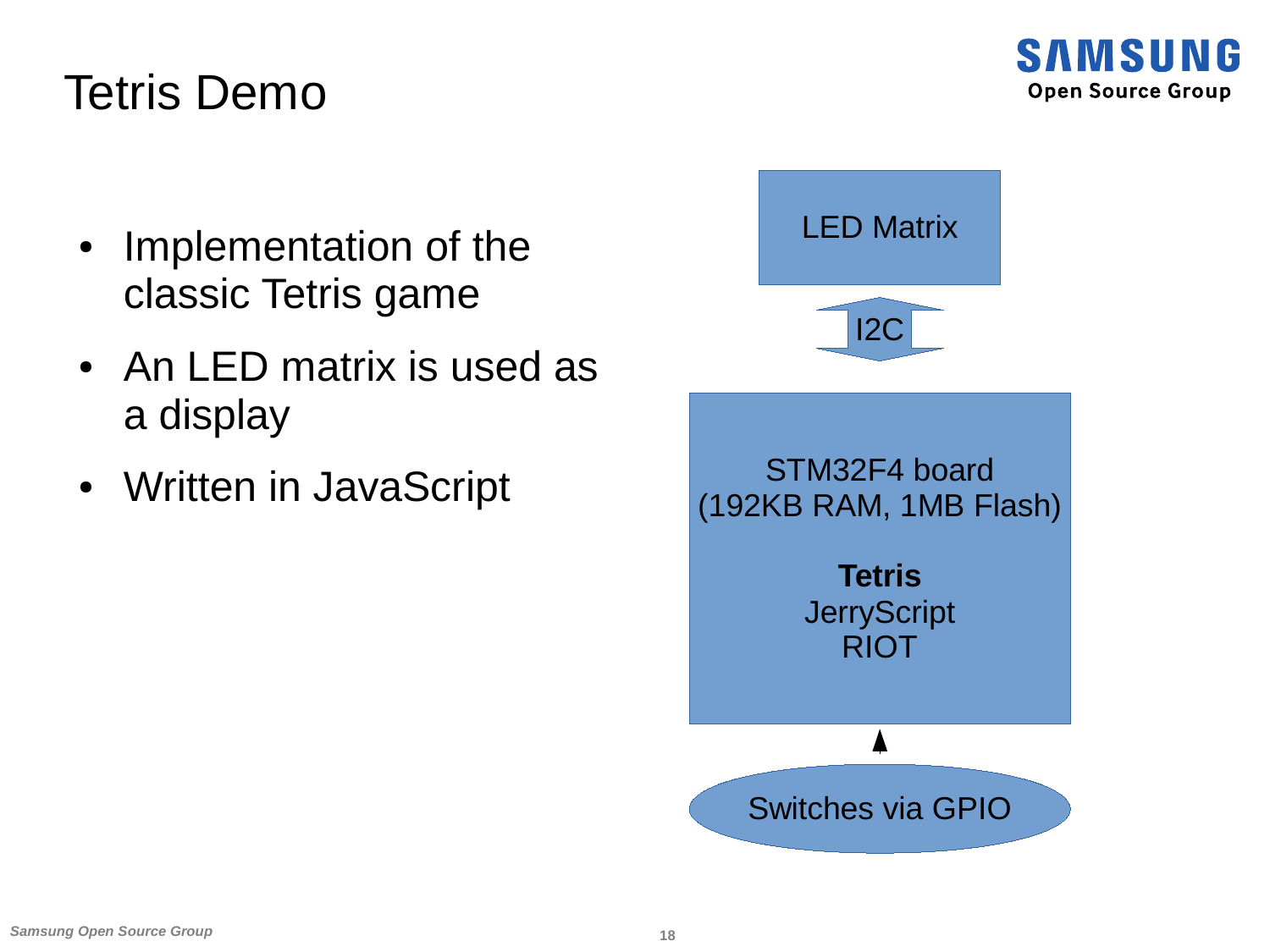

#### Tetris Demo

- Implementation of the classic Tetris game
- An LED matrix is used as a display
- Written in JavaScript STM32F4 board

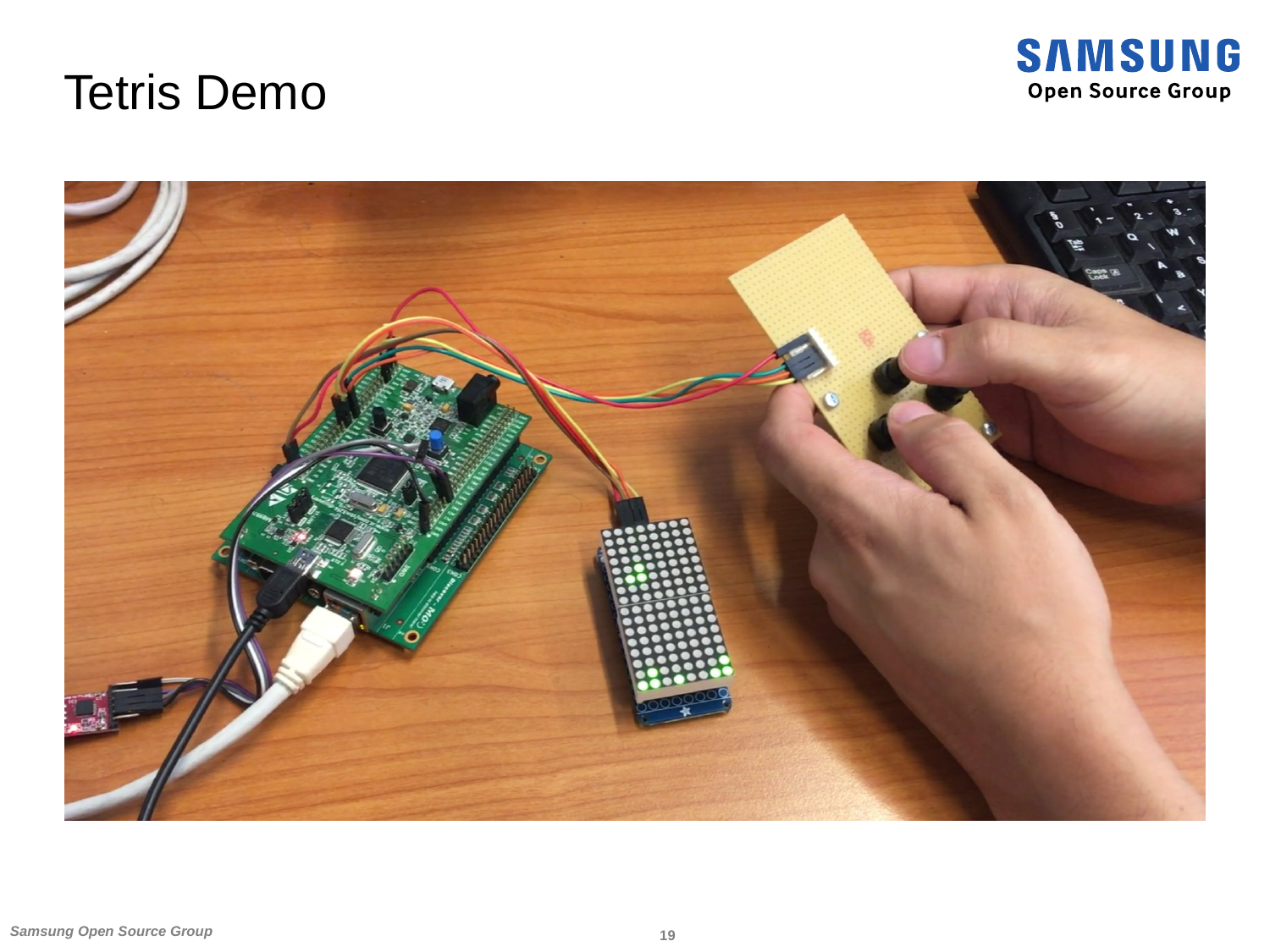#### Tetris Demo



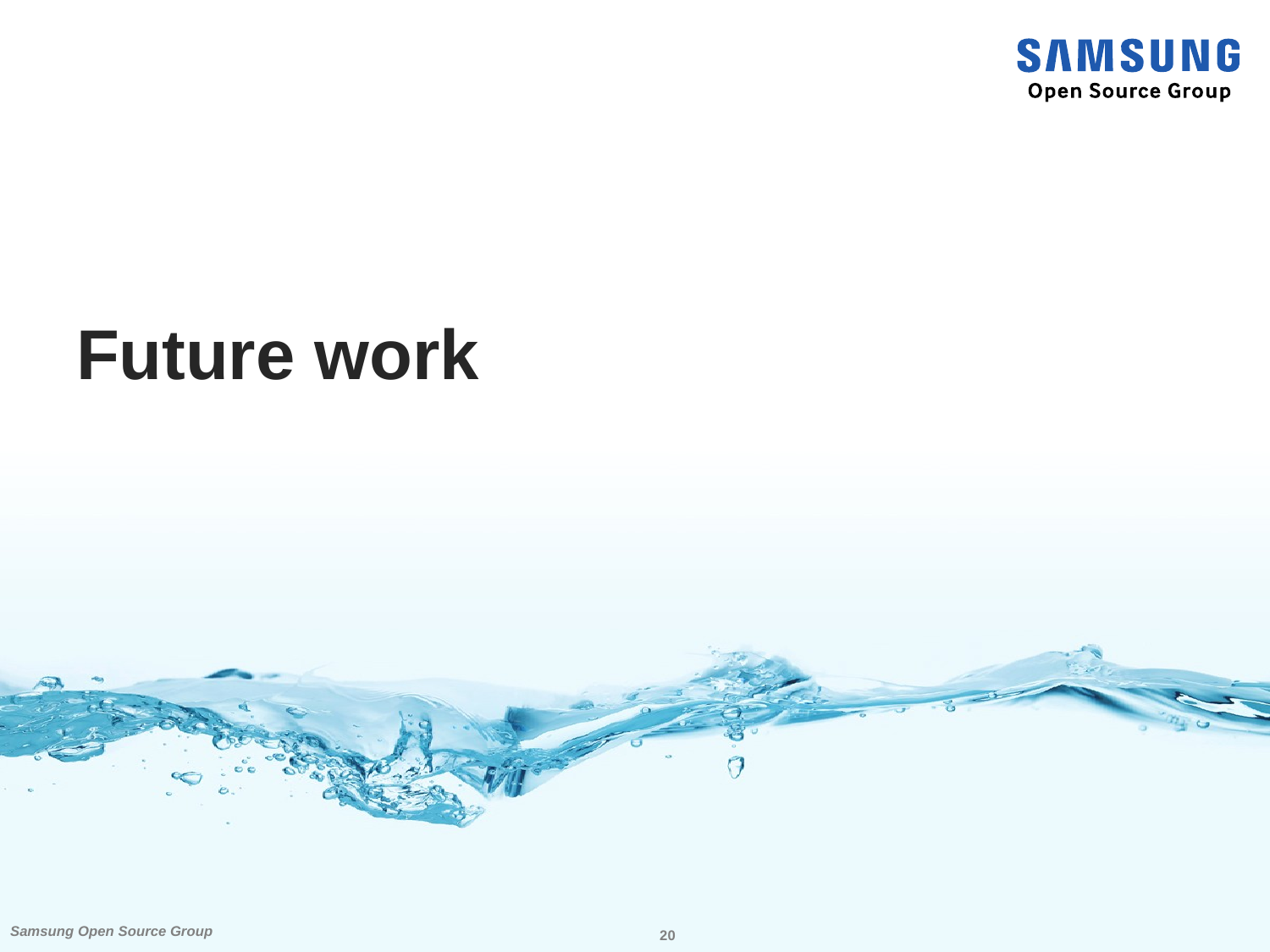

### **Future work**

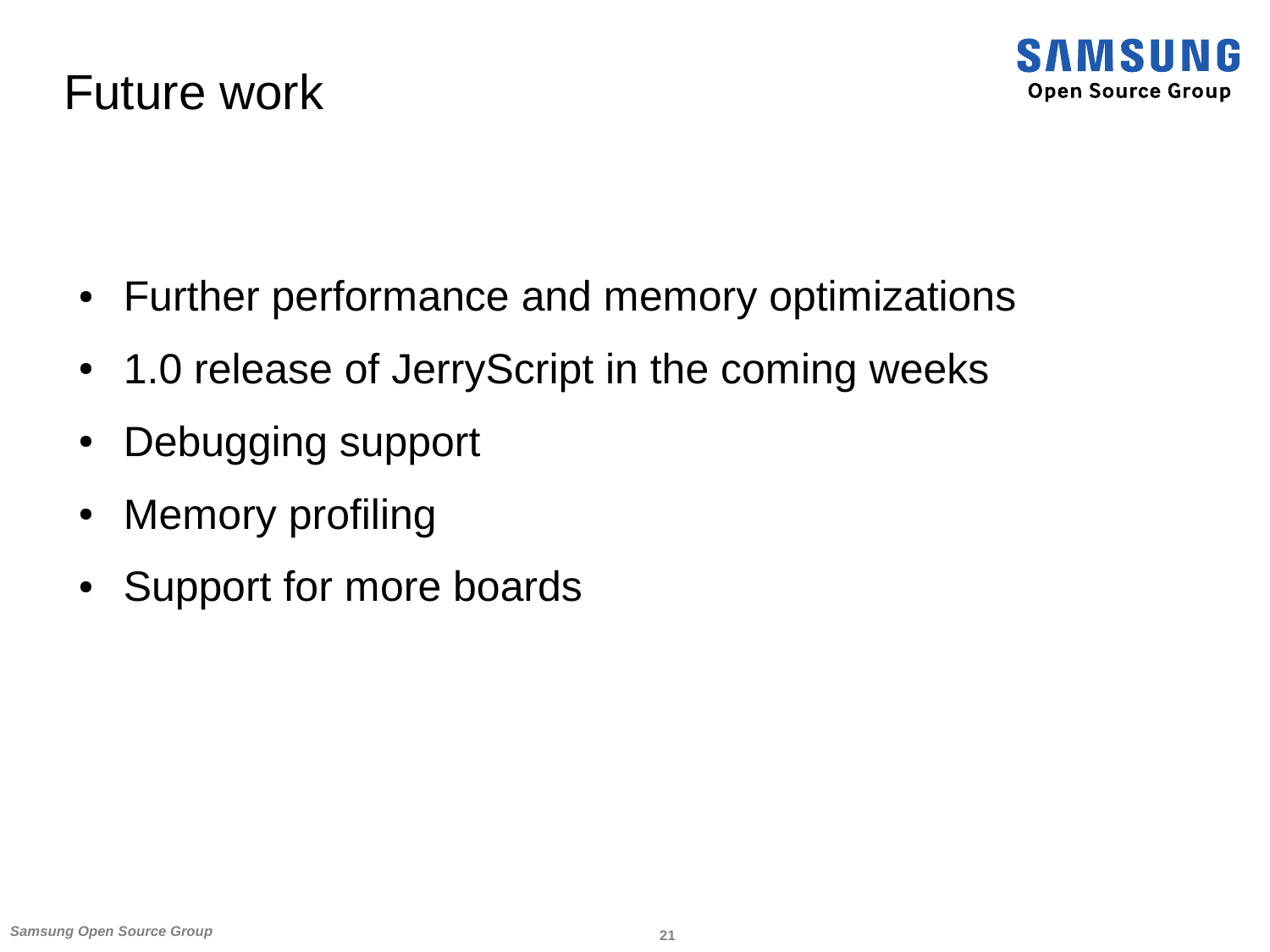

#### Future work

- Further performance and memory optimizations
- 1.0 release of JerryScript in the coming weeks
- Debugging support
- Memory profiling
- Support for more boards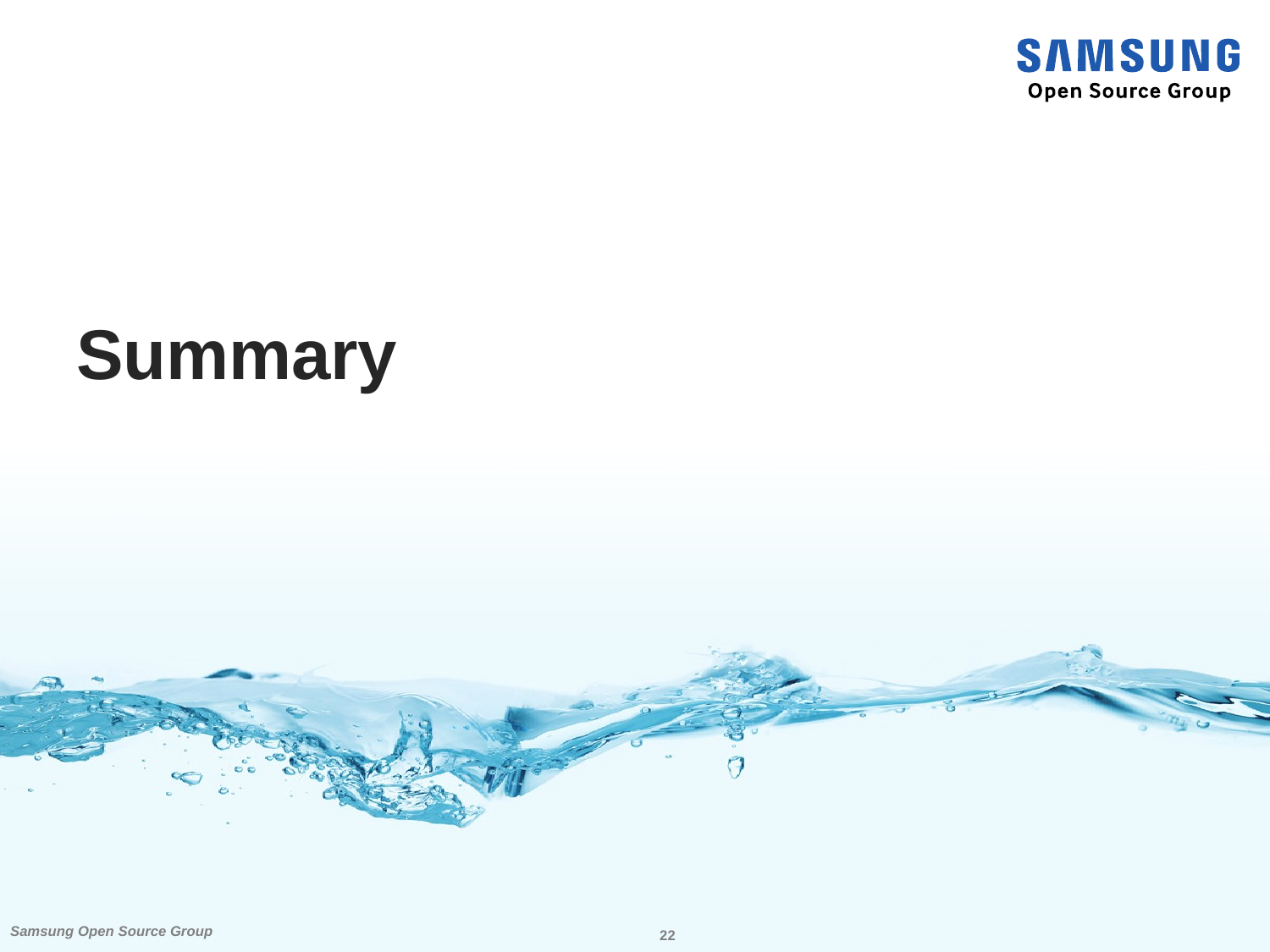

## **Summary**

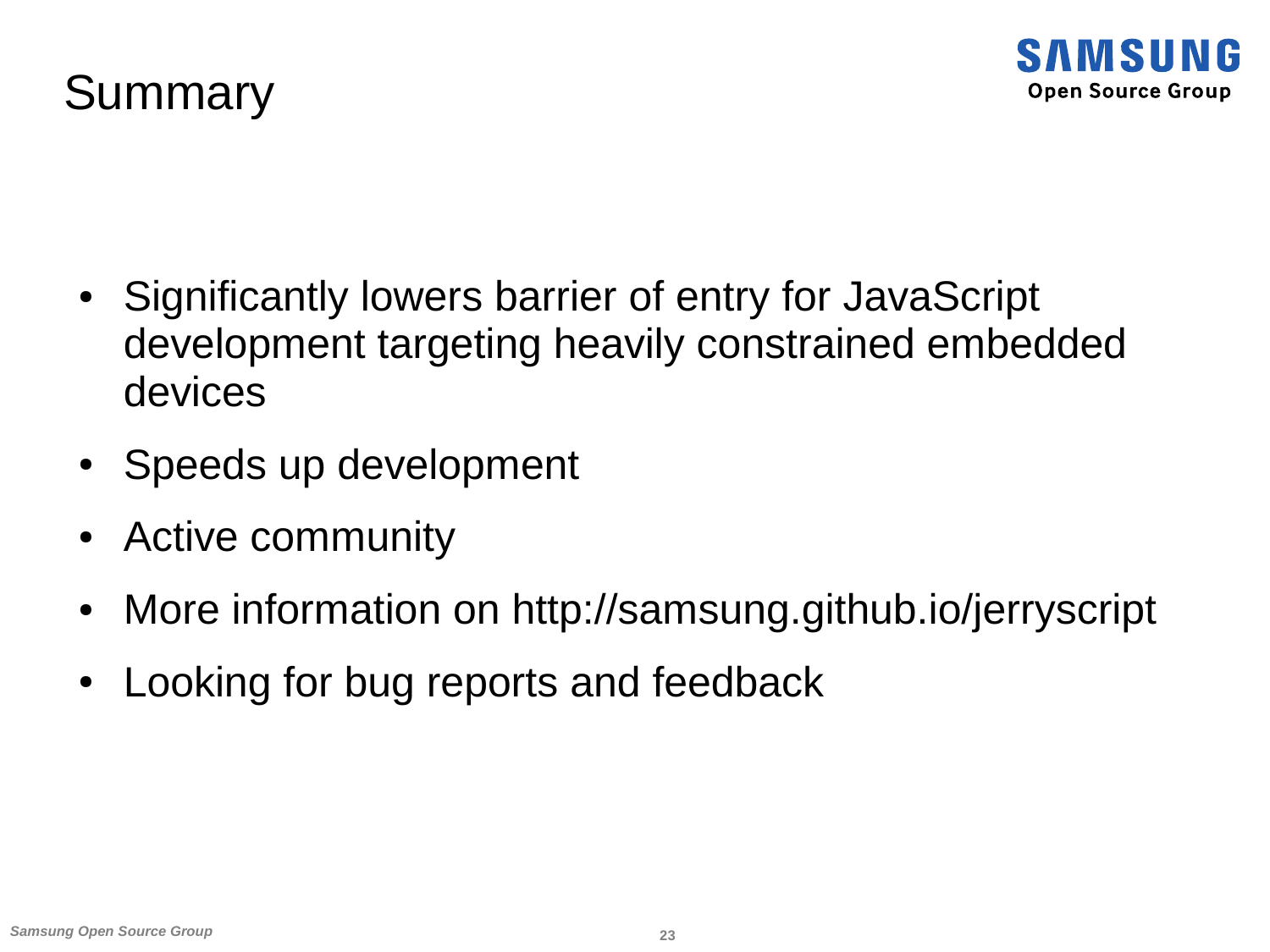

#### **Summary**

- Significantly lowers barrier of entry for JavaScript development targeting heavily constrained embedded devices
- Speeds up development
- Active community
- More information on http://samsung.github.io/jerryscript
- Looking for bug reports and feedback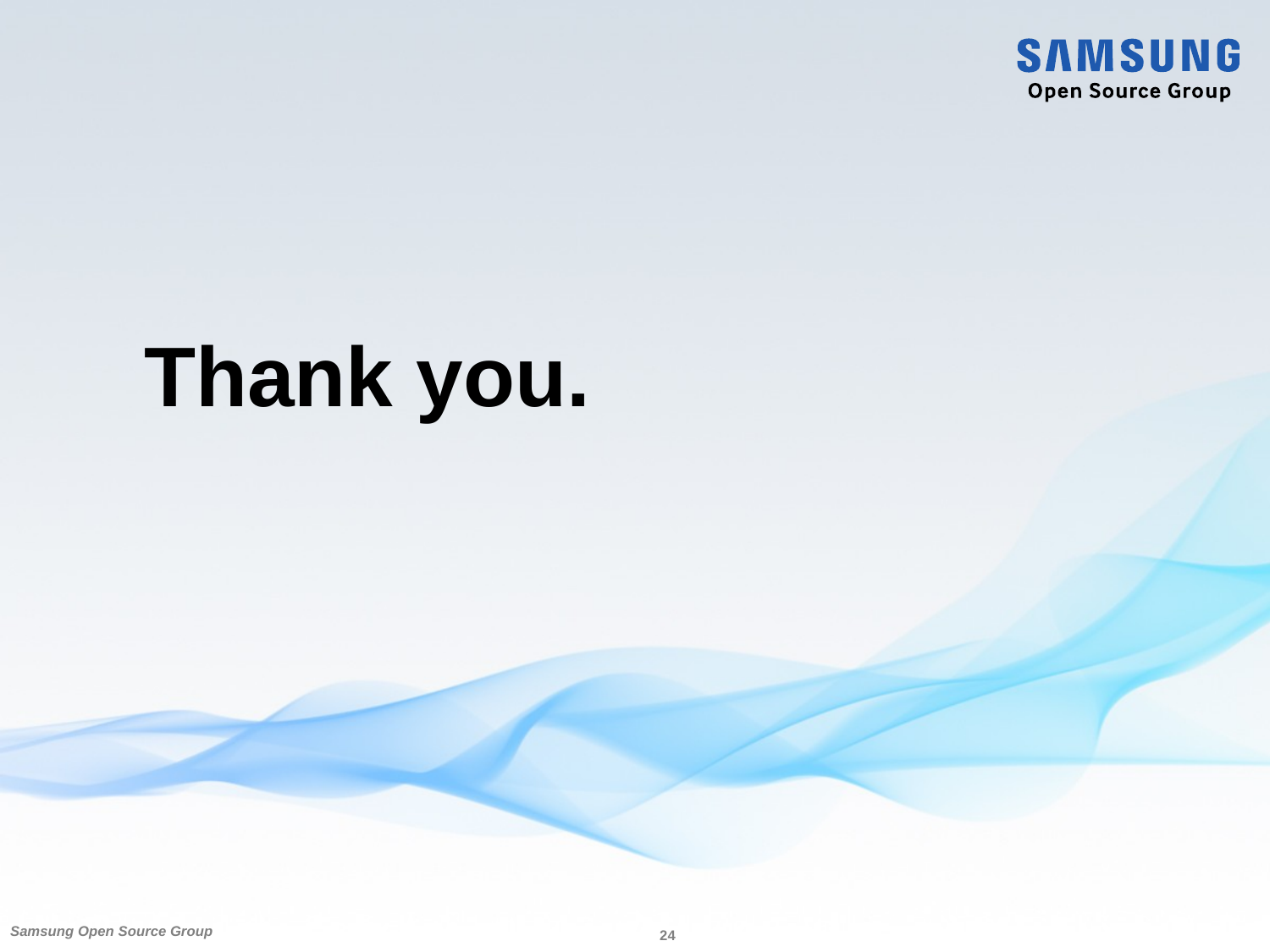

# **Thank you.**